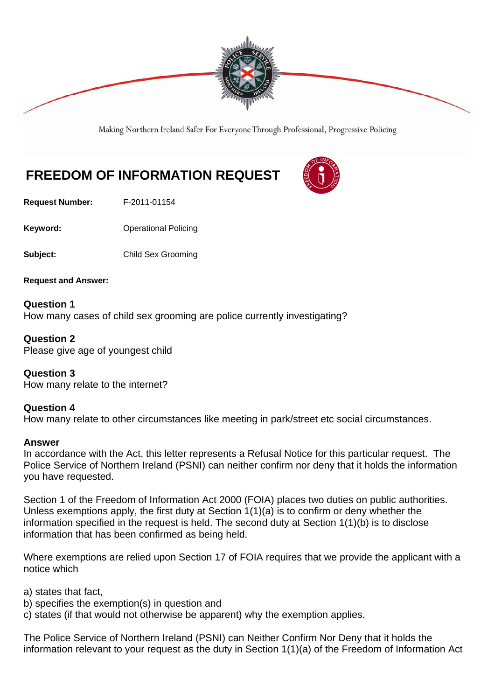

Making Northern Ireland Safer For Everyone Through Professional, Progressive Policing

# **FREEDOM OF INFORMATION REQUEST**

**Request Number:** F-2011-01154

**Keyword: Conservery Operational Policing** 

**Subject:** Child Sex Grooming

**Request and Answer:** 

**Question 1** How many cases of child sex grooming are police currently investigating?

**Question 2** Please give age of youngest child

**Question 3** How many relate to the internet?

**Question 4**

How many relate to other circumstances like meeting in park/street etc social circumstances.

### **Answer**

In accordance with the Act, this letter represents a Refusal Notice for this particular request. The Police Service of Northern Ireland (PSNI) can neither confirm nor deny that it holds the information you have requested.

Section 1 of the Freedom of Information Act 2000 (FOIA) places two duties on public authorities. Unless exemptions apply, the first duty at Section 1(1)(a) is to confirm or deny whether the information specified in the request is held. The second duty at Section 1(1)(b) is to disclose information that has been confirmed as being held.

Where exemptions are relied upon Section 17 of FOIA requires that we provide the applicant with a notice which

a) states that fact,

- b) specifies the exemption(s) in question and
- c) states (if that would not otherwise be apparent) why the exemption applies.

The Police Service of Northern Ireland (PSNI) can Neither Confirm Nor Deny that it holds the information relevant to your request as the duty in Section 1(1)(a) of the Freedom of Information Act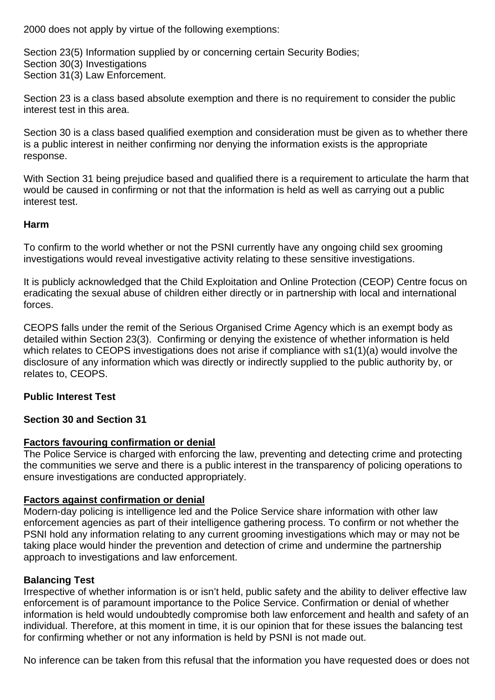2000 does not apply by virtue of the following exemptions:

Section 23(5) Information supplied by or concerning certain Security Bodies; Section 30(3) Investigations Section 31(3) Law Enforcement.

Section 23 is a class based absolute exemption and there is no requirement to consider the public interest test in this area.

Section 30 is a class based qualified exemption and consideration must be given as to whether there is a public interest in neither confirming nor denying the information exists is the appropriate response.

With Section 31 being prejudice based and qualified there is a requirement to articulate the harm that would be caused in confirming or not that the information is held as well as carrying out a public interest test.

## **Harm**

To confirm to the world whether or not the PSNI currently have any ongoing child sex grooming investigations would reveal investigative activity relating to these sensitive investigations.

It is publicly acknowledged that the Child Exploitation and Online Protection (CEOP) Centre focus on eradicating the sexual abuse of children either directly or in partnership with local and international forces.

CEOPS falls under the remit of the Serious Organised Crime Agency which is an exempt body as detailed within Section 23(3). Confirming or denying the existence of whether information is held which relates to CEOPS investigations does not arise if compliance with s1(1)(a) would involve the disclosure of any information which was directly or indirectly supplied to the public authority by, or relates to, CEOPS.

## **Public Interest Test**

## **Section 30 and Section 31**

## **Factors favouring confirmation or denial**

The Police Service is charged with enforcing the law, preventing and detecting crime and protecting the communities we serve and there is a public interest in the transparency of policing operations to ensure investigations are conducted appropriately.

## **Factors against confirmation or denial**

Modern-day policing is intelligence led and the Police Service share information with other law enforcement agencies as part of their intelligence gathering process. To confirm or not whether the PSNI hold any information relating to any current grooming investigations which may or may not be taking place would hinder the prevention and detection of crime and undermine the partnership approach to investigations and law enforcement.

## **Balancing Test**

Irrespective of whether information is or isn't held, public safety and the ability to deliver effective law enforcement is of paramount importance to the Police Service. Confirmation or denial of whether information is held would undoubtedly compromise both law enforcement and health and safety of an individual. Therefore, at this moment in time, it is our opinion that for these issues the balancing test for confirming whether or not any information is held by PSNI is not made out.

No inference can be taken from this refusal that the information you have requested does or does not